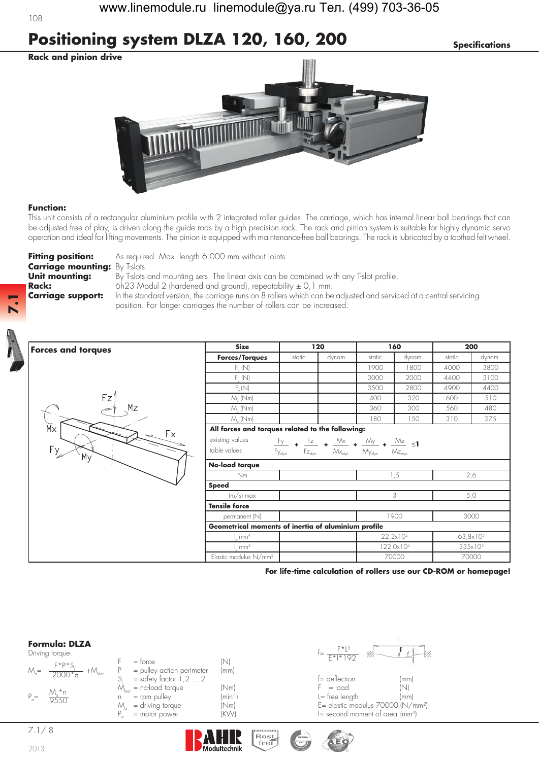# **Positioning system DLZA 120, 160, 200** *Specifications*

**Rack and pinion drive**



#### **Function:**

This unit consists of a rectangular aluminium profile with 2 integrated roller guides. The carriage, which has internal linear ball bearings that can be adjusted free of play, is driven along the guide rods by a high precision rack. The rack and pinion system is suitable for highly dynamic servo operation and ideal for lifting movements. The pinion is equipped with maintenance-free ball bearings. The rack is lubricated by a toothed felt wheel.

**Carriage mounting:** By T-slots.

**Fitting position:** As required. Max. length 6.000 mm without joints.

**Unit mounting:** By T-slots and mounting sets. The linear axis can be combined with any T-slot profile. **Rack:** 6h23 Modul 2 (hardened and ground), repeatability ± 0,1 mm. **Carriage support:** In the standard version, the carriage runs on 8 rollers which can be adjusted and serviced at a central servicing position. For longer carriages the number of rollers can be increased.



**7.1**



| <b>Forces and torques</b>        | <b>Size</b>                                                                                                                                                                                                                                                                                  | 120                                 |        | 160    |                     | 200    |                     |  |
|----------------------------------|----------------------------------------------------------------------------------------------------------------------------------------------------------------------------------------------------------------------------------------------------------------------------------------------|-------------------------------------|--------|--------|---------------------|--------|---------------------|--|
|                                  | <b>Forces/Torques</b>                                                                                                                                                                                                                                                                        | static                              | dynam. | static | dynam.              | static | dynam.              |  |
|                                  | $F_{v}$ (N)                                                                                                                                                                                                                                                                                  |                                     |        | 1900   | 1800                | 4000   | 3800                |  |
|                                  | $F_{v}$ (N)                                                                                                                                                                                                                                                                                  |                                     |        | 3000   | 2000                | 4400   | 3100                |  |
|                                  | $F_{r}(N)$                                                                                                                                                                                                                                                                                   |                                     |        | 3500   | 2800                | 4900   | 4400                |  |
| Fz'<br>Mz                        | $M_{\nu}$ (Nm)                                                                                                                                                                                                                                                                               |                                     |        | 400    | 320                 | 600    | 510                 |  |
|                                  | $M_{\cdot}$ (Nm)                                                                                                                                                                                                                                                                             |                                     |        | 360    | 300                 | 560    | 480                 |  |
|                                  | $M_{.}$ (Nm)                                                                                                                                                                                                                                                                                 |                                     |        | 180    | 150                 | 310    | 275                 |  |
| $\overline{M}$<br>Fx<br>Fy<br>My | All forces and torques related to the following:                                                                                                                                                                                                                                             |                                     |        |        |                     |        |                     |  |
|                                  | existing values<br>$\begin{array}{ccccc} F_{y} & \bullet & \frac{Fz}{Fz_{\text{dyn}}} & \bullet & \frac{\mathcal{M}x}{\mathcal{M}x_{\text{dyn}}} & \bullet & \frac{\mathcal{M}y}{\mathcal{M}y_{\text{dyn}}} & \bullet & \frac{\mathcal{M}z}{\mathcal{M}z_{\text{dyn}}} & \leq 1 \end{array}$ |                                     |        |        |                     |        |                     |  |
|                                  | table values                                                                                                                                                                                                                                                                                 | $Fz_{\rm dyn}$<br>Fy <sub>dyn</sub> |        |        |                     |        |                     |  |
|                                  | No-load torque                                                                                                                                                                                                                                                                               |                                     |        |        |                     |        |                     |  |
|                                  | Nm                                                                                                                                                                                                                                                                                           |                                     |        |        | 1,5                 |        | 2,6                 |  |
|                                  | <b>Speed</b>                                                                                                                                                                                                                                                                                 |                                     |        |        |                     |        |                     |  |
|                                  | $(m/s)$ max                                                                                                                                                                                                                                                                                  |                                     |        |        | 3                   |        | 5,0                 |  |
|                                  | <b>Tensile force</b>                                                                                                                                                                                                                                                                         |                                     |        |        |                     |        |                     |  |
|                                  | permanent (N)                                                                                                                                                                                                                                                                                |                                     |        |        | 1900                |        | 3000                |  |
|                                  | Geometrical moments of inertia of aluminium profile                                                                                                                                                                                                                                          |                                     |        |        |                     |        |                     |  |
|                                  | mm <sup>4</sup>                                                                                                                                                                                                                                                                              |                                     |        |        | $22,2\times10^{5}$  |        | $63,8\times10^{5}$  |  |
|                                  | mm <sup>4</sup>                                                                                                                                                                                                                                                                              |                                     |        |        | $122,0\times10^{5}$ |        | 335×10 <sup>5</sup> |  |
|                                  | Elastic modulus N/mm <sup>2</sup>                                                                                                                                                                                                                                                            |                                     |        |        | 70000               |        | 70000               |  |

**For life-time calculation of rollers use our CD-ROM or homepage!**

#### **Formula: DLZA**

| Driving torque |  |
|----------------|--|
|----------------|--|

|           | Driving torque:                                                   |                                   |           | $\mathscr{H}^-$<br>$F*1*102$    |      |
|-----------|-------------------------------------------------------------------|-----------------------------------|-----------|---------------------------------|------|
|           | F*P*S                                                             | $=$ torce                         | N         |                                 |      |
|           | $M_{\circ} = \frac{1}{2000 \times \pi}$<br>$+{\cal M}_{\rm leer}$ | = pulley action perimeter         | (mm)      |                                 |      |
|           |                                                                   | $=$ safety factor 1,2  2          |           | $f =$ deflection                | (mm) |
|           |                                                                   | $M_{\text{max}}$ = no-load torque | (Nm)      | $F = load$                      | NI.  |
| $P_{0} =$ | M *n<br>9550                                                      | $=$ rpm pulley                    | $(min-1)$ | $l = free length$               | (mm  |
|           |                                                                   | = driving torque                  | (Nm)      | E= elastic modulus 70000 (N/    |      |
|           |                                                                   | = motor power                     | (KW)      | $I =$ second moment of area (mm |      |



n<sup>-1</sup>) L= free length (mm)<br>m) E= elastic modulus 70000 (N/t m) = elastic modulus 70000 (N/mm²)<br>M) = decond moment of area (mmª)  $I=$  second moment of area (mm<sup>4</sup>)